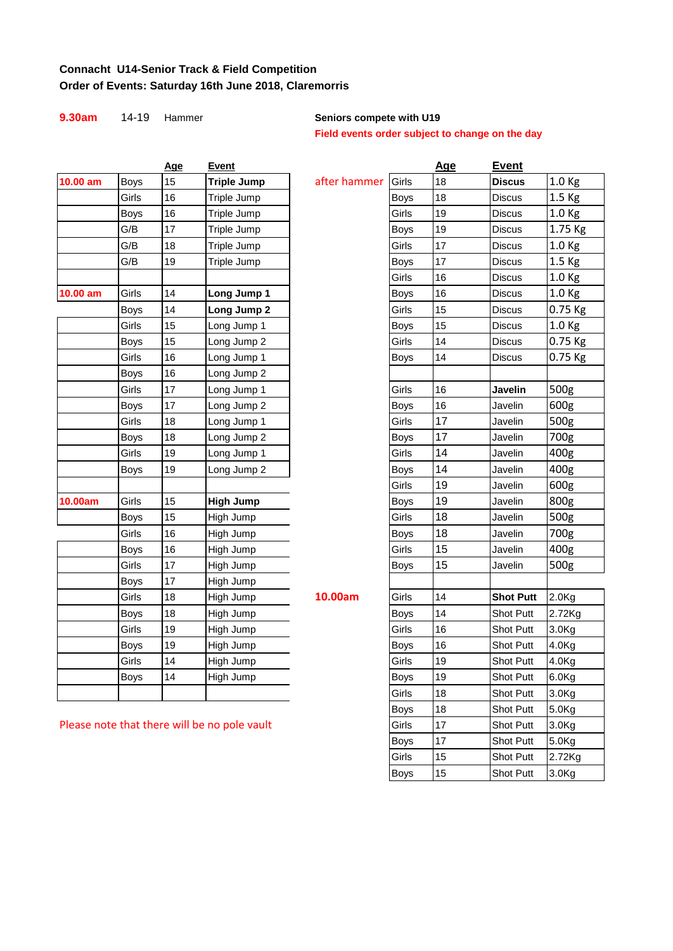### **Connacht U14-Senior Track & Field Competition Order of Events: Saturday 16th June 2018, Claremorris**

| 9.30am   | $14 - 19$   | Hammer |                    | Seniors compete with U19 |                                                 |            |                  |                   |  |
|----------|-------------|--------|--------------------|--------------------------|-------------------------------------------------|------------|------------------|-------------------|--|
|          |             |        |                    |                          | Field events order subject to change on the day |            |                  |                   |  |
|          |             | Age    | Event              |                          |                                                 | <u>Age</u> | <b>Event</b>     |                   |  |
| 10.00 am | Boys        | 15     | <b>Triple Jump</b> | after hammer             | Girls                                           | 18         | <b>Discus</b>    | 1.0 <sub>Kg</sub> |  |
|          | Girls       | 16     | Triple Jump        |                          | Boys                                            | 18         | <b>Discus</b>    | 1.5 <sub>kg</sub> |  |
|          | <b>Boys</b> | 16     | Triple Jump        |                          | Girls                                           | 19         | <b>Discus</b>    | 1.0 <sub>Kg</sub> |  |
|          | G/B         | 17     | Triple Jump        |                          | Boys                                            | 19         | Discus           | 1.75 Kg           |  |
|          | G/B         | 18     | Triple Jump        |                          | Girls                                           | 17         | <b>Discus</b>    | 1.0 <sub>Kg</sub> |  |
|          | G/B         | 19     | Triple Jump        |                          | <b>Boys</b>                                     | 17         | Discus           | 1.5 <sub>kg</sub> |  |
|          |             |        |                    |                          | Girls                                           | 16         | <b>Discus</b>    | 1.0 <sub>Kg</sub> |  |
| 10.00 am | Girls       | 14     | Long Jump 1        |                          | Boys                                            | 16         | <b>Discus</b>    | 1.0 <sub>Kg</sub> |  |
|          | <b>Boys</b> | 14     | Long Jump 2        |                          | Girls                                           | 15         | <b>Discus</b>    | 0.75 Kg           |  |
|          | Girls       | 15     | Long Jump 1        |                          | Boys                                            | 15         | <b>Discus</b>    | 1.0 <sub>Kg</sub> |  |
|          | Boys        | 15     | Long Jump 2        |                          | Girls                                           | 14         | <b>Discus</b>    | 0.75 Kg           |  |
|          | Girls       | 16     | Long Jump 1        |                          | <b>Boys</b>                                     | 14         | Discus           | 0.75 Kg           |  |
|          | <b>Boys</b> | 16     | Long Jump 2        |                          |                                                 |            |                  |                   |  |
|          | Girls       | 17     | Long Jump 1        |                          | Girls                                           | 16         | Javelin          | 500g              |  |
|          | <b>Boys</b> | 17     | Long Jump 2        |                          | Boys                                            | 16         | Javelin          | 600g              |  |
|          | Girls       | 18     | Long Jump 1        |                          | Girls                                           | 17         | Javelin          | 500g              |  |
|          | Boys        | 18     | Long Jump 2        |                          | Boys                                            | 17         | Javelin          | 700g              |  |
|          | Girls       | 19     | Long Jump 1        |                          | Girls                                           | 14         | Javelin          | 400g              |  |
|          | Boys        | 19     | Long Jump 2        |                          | Boys                                            | 14         | Javelin          | 400g              |  |
|          |             |        |                    |                          | Girls                                           | 19         | Javelin          | 600g              |  |
| 10.00am  | Girls       | 15     | <b>High Jump</b>   |                          | <b>Boys</b>                                     | 19         | Javelin          | 800g              |  |
|          | <b>Boys</b> | 15     | High Jump          |                          | Girls                                           | 18         | Javelin          | 500g              |  |
|          | Girls       | 16     | High Jump          |                          | <b>Boys</b>                                     | 18         | Javelin          | 700g              |  |
|          | <b>Boys</b> | 16     | High Jump          |                          | Girls                                           | 15         | Javelin          | 400g              |  |
|          | Girls       | 17     | High Jump          |                          | Boys                                            | 15         | Javelin          | 500g              |  |
|          | <b>Boys</b> | 17     | High Jump          |                          |                                                 |            |                  |                   |  |
|          | Girls       | 18     | High Jump          | 10.00am                  | Girls                                           | 14         | <b>Shot Putt</b> | 2.0 <sub>Kg</sub> |  |
|          | Boys        | 18     | High Jump          |                          | Boys                                            | 14         | Shot Putt        | 2.72Kg            |  |
|          | Girls       | 19     | High Jump          |                          | Girls                                           | 16         | Shot Putt        | 3.0 <sub>Kg</sub> |  |
|          | <b>Boys</b> | 19     | High Jump          |                          | Boys                                            | 16         | Shot Putt        | 4.0Kg             |  |
|          | Girls       | 14     | High Jump          |                          | Girls                                           | 19         | Shot Putt        | 4.0Kg             |  |
|          | Boys        | 14     | High Jump          |                          | Boys                                            | 19         | Shot Putt        | 6.0 <sub>g</sub>  |  |
|          |             |        |                    |                          | Girls                                           | $18\,$     | Shot Putt        | 3.0 <sub>g</sub>  |  |

| 9.30am     | 14-19       | Hammer     |                                              | Seniors compete with U19 | Field events order subject to change on the day |            |                  |                   |
|------------|-------------|------------|----------------------------------------------|--------------------------|-------------------------------------------------|------------|------------------|-------------------|
|            |             | <b>Age</b> | <b>Event</b>                                 |                          |                                                 | <u>Age</u> | <b>Event</b>     |                   |
| 10.00 am   | <b>Boys</b> | 15         | <b>Triple Jump</b>                           | after hammer             | Girls                                           | 18         | <b>Discus</b>    | 1.0 Kg            |
|            | Girls       | 16         | Triple Jump                                  |                          | <b>Boys</b>                                     | 18         | <b>Discus</b>    | 1.5 Kg            |
|            | Boys        | 16         | Triple Jump                                  |                          | Girls                                           | 19         | <b>Discus</b>    | 1.0 <sub>Kg</sub> |
|            | G/B         | 17         | Triple Jump                                  |                          | <b>Boys</b>                                     | 19         | <b>Discus</b>    | 1.75 Kg           |
|            | G/B         | 18         | Triple Jump                                  |                          | Girls                                           | 17         | <b>Discus</b>    | 1.0 Kg            |
|            | G/B         | 19         | Triple Jump                                  |                          | Boys                                            | 17         | <b>Discus</b>    | 1.5 Kg            |
|            |             |            |                                              |                          | Girls                                           | 16         | <b>Discus</b>    | 1.0 Kg            |
| $10.00$ am | Girls       | 14         | Long Jump 1                                  |                          | <b>Boys</b>                                     | 16         | <b>Discus</b>    | 1.0 Kg            |
|            | Boys        | 14         | Long Jump 2                                  |                          | Girls                                           | 15         | <b>Discus</b>    | 0.75 Kg           |
|            | Girls       | 15         | Long Jump 1                                  |                          | <b>Boys</b>                                     | 15         | <b>Discus</b>    | 1.0 Kg            |
|            | Boys        | 15         | Long Jump 2                                  |                          | Girls                                           | 14         | <b>Discus</b>    | 0.75 Kg           |
|            | Girls       | 16         | Long Jump 1                                  |                          | Boys                                            | 14         | <b>Discus</b>    | $0.75$ Kg         |
|            | Boys        | 16         | Long Jump 2                                  |                          |                                                 |            |                  |                   |
|            | Girls       | 17         | Long Jump 1                                  |                          | Girls                                           | 16         | Javelin          | 500g              |
|            | Boys        | 17         | Long Jump 2                                  |                          | Boys                                            | 16         | Javelin          | 600g              |
|            | Girls       | 18         | Long Jump 1                                  |                          | Girls                                           | 17         | Javelin          | 500g              |
|            | Boys        | 18         | Long Jump 2                                  |                          | Boys                                            | 17         | Javelin          | 700g              |
|            | Girls       | 19         | Long Jump 1                                  |                          | Girls                                           | 14         | Javelin          | 400g              |
|            | Boys        | 19         | Long Jump 2                                  |                          | <b>Boys</b>                                     | 14         | Javelin          | 400g              |
|            |             |            |                                              |                          | Girls                                           | 19         | Javelin          | 600g              |
| 10.00am    | Girls       | 15         | <b>High Jump</b>                             |                          | <b>Boys</b>                                     | 19         | Javelin          | 800g              |
|            | Boys        | 15         | High Jump                                    |                          | Girls                                           | 18         | Javelin          | 500g              |
|            | Girls       | 16         | High Jump                                    |                          | Boys                                            | 18         | Javelin          | 700g              |
|            | <b>Boys</b> | 16         | High Jump                                    |                          | Girls                                           | 15         | Javelin          | 400g              |
|            | Girls       | 17         | High Jump                                    |                          | Boys                                            | 15         | Javelin          | 500g              |
|            | Boys        | 17         | High Jump                                    |                          |                                                 |            |                  |                   |
|            | Girls       | 18         | High Jump                                    | 10.00am                  | Girls                                           | 14         | <b>Shot Putt</b> | 2.0 <sub>g</sub>  |
|            | Boys        | 18         | High Jump                                    |                          | <b>Boys</b>                                     | 14         | Shot Putt        | 2.72Kg            |
|            | Girls       | 19         | High Jump                                    |                          | Girls                                           | 16         | Shot Putt        | 3.0 <sub>Kg</sub> |
|            | Boys        | 19         | High Jump                                    |                          | <b>Boys</b>                                     | 16         | Shot Putt        | 4.0Kg             |
|            | Girls       | 14         | High Jump                                    |                          | Girls                                           | 19         | Shot Putt        | 4.0Kg             |
|            | Boys        | 14         | High Jump                                    |                          | <b>Boys</b>                                     | 19         | Shot Putt        | 6.0 <sub>g</sub>  |
|            |             |            |                                              |                          | Girls                                           | 18         | Shot Putt        | 3.0Kg             |
|            |             |            |                                              |                          | <b>Boys</b>                                     | 18         | Shot Putt        | 5.0Kg             |
|            |             |            | Please note that there will be no pole vault |                          | Girls                                           | 17         | <b>Shot Putt</b> | 3.0 <sub>Kg</sub> |
|            |             |            |                                              |                          | <b>Boys</b>                                     | 17         | Shot Putt        | 5.0Kg             |
|            |             |            |                                              |                          | Girls                                           | 15         | Shot Putt        | 2.72Kg            |
|            |             |            |                                              |                          | <b>Boys</b>                                     | 15         | Shot Putt        | 3.0 <sub>Kg</sub> |